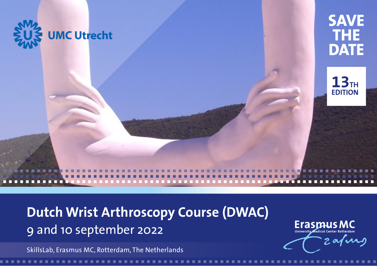

a a a a a a a a a a a a a a a a a a a a a a a a a a a a a a a a a a a a a a a a a a a a a a a a a a a a a a a a a a a a a a a a a a a a a a a a

**Dutch Wrist Arthroscopy Course (DWAC)** 9 and 10 september 2022

SkillsLab, Erasmus MC, Rotterdam, The Netherlands

**ErasmusMC** University Medical Center Rotterdam Zafurg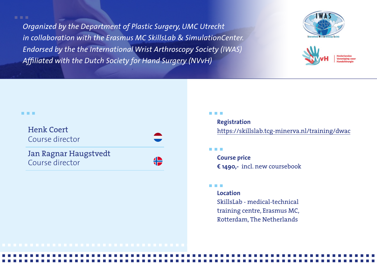a a a *Endorsed by the the International Wrist Arthroscopy Society (IWAS) Organized by the Department of Plastic Surgery, UMC Utrecht in collaboration with the Erasmus MC SkillsLab & SimulationCenter. Affiliated with the Dutch Society for Hand Surgery (NVvH)* 





#### a a a

| <b>Henk Coert</b><br>Course director     |  |
|------------------------------------------|--|
| Jan Ragnar Haugstvedt<br>Course director |  |

# a a a

# **Registration**

[https://skillslab.tcg-minerva.nl/training/dwac](https://skillslab.tcg-minerva.nl/training/detail/d9c15880-d1ed-4623-9aa1-852e6be1578d/info)

## a a a

**Course price € 1490,-** incl. new coursebook

### a a a

a a a a a a a a a a a a a a a a a a a a a a a a a a a a a a a a a a a a a a a a a a a a a a a a a a a a a a a a a a a a a a a a a a a a a a a a a a a a a a a a a a a a a a a a a a a a a a a a a a a a a a a a a a a a a a a a a a a a a a a a a a a a a a a a a a a a a a

**Location**

SkillsLab - medical-technical training centre, Erasmus MC, Rotterdam, The Netherlands